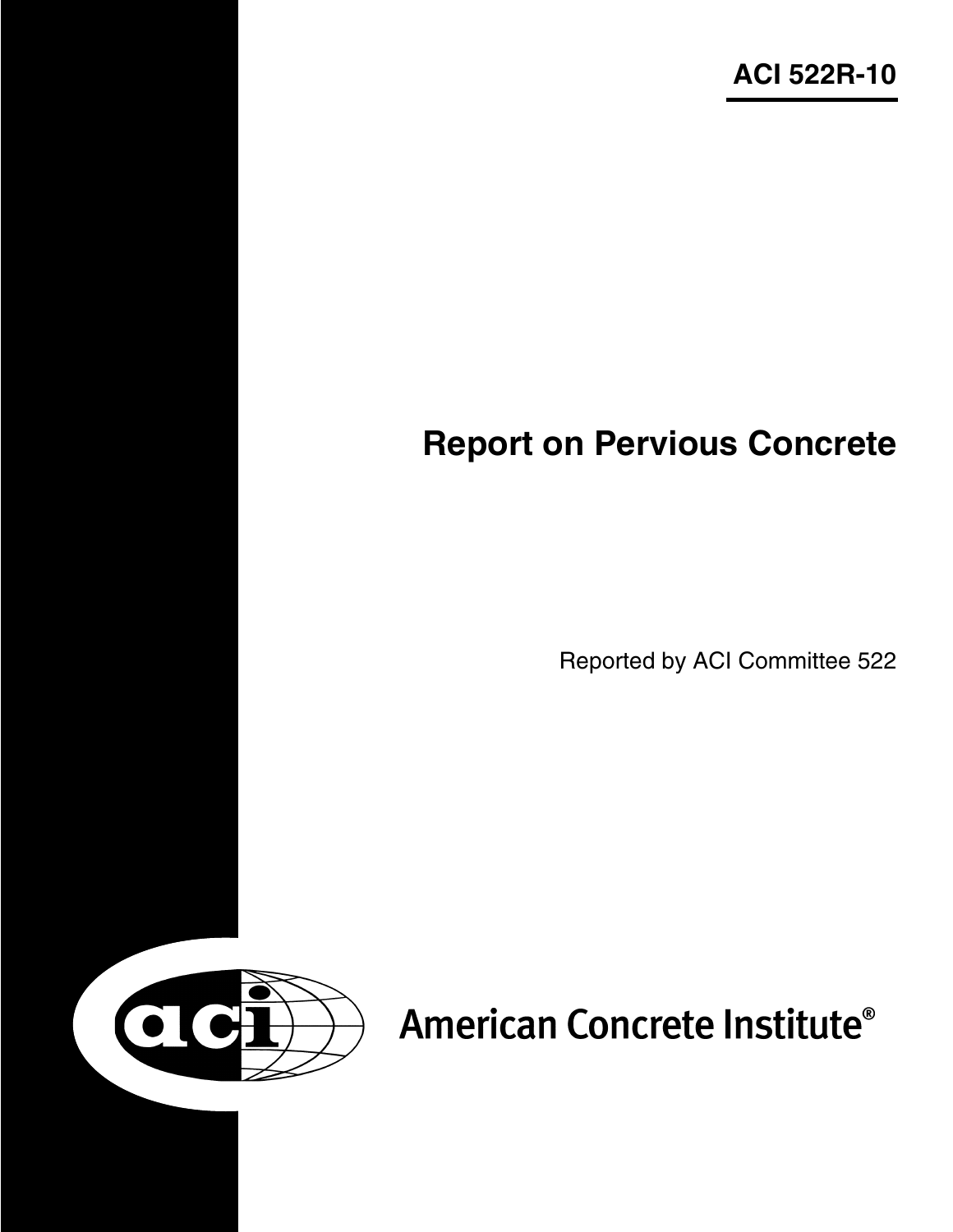# **Report on Pervious Concrete**

Reported by ACI Committee 522



American Concrete Institute<sup>®</sup>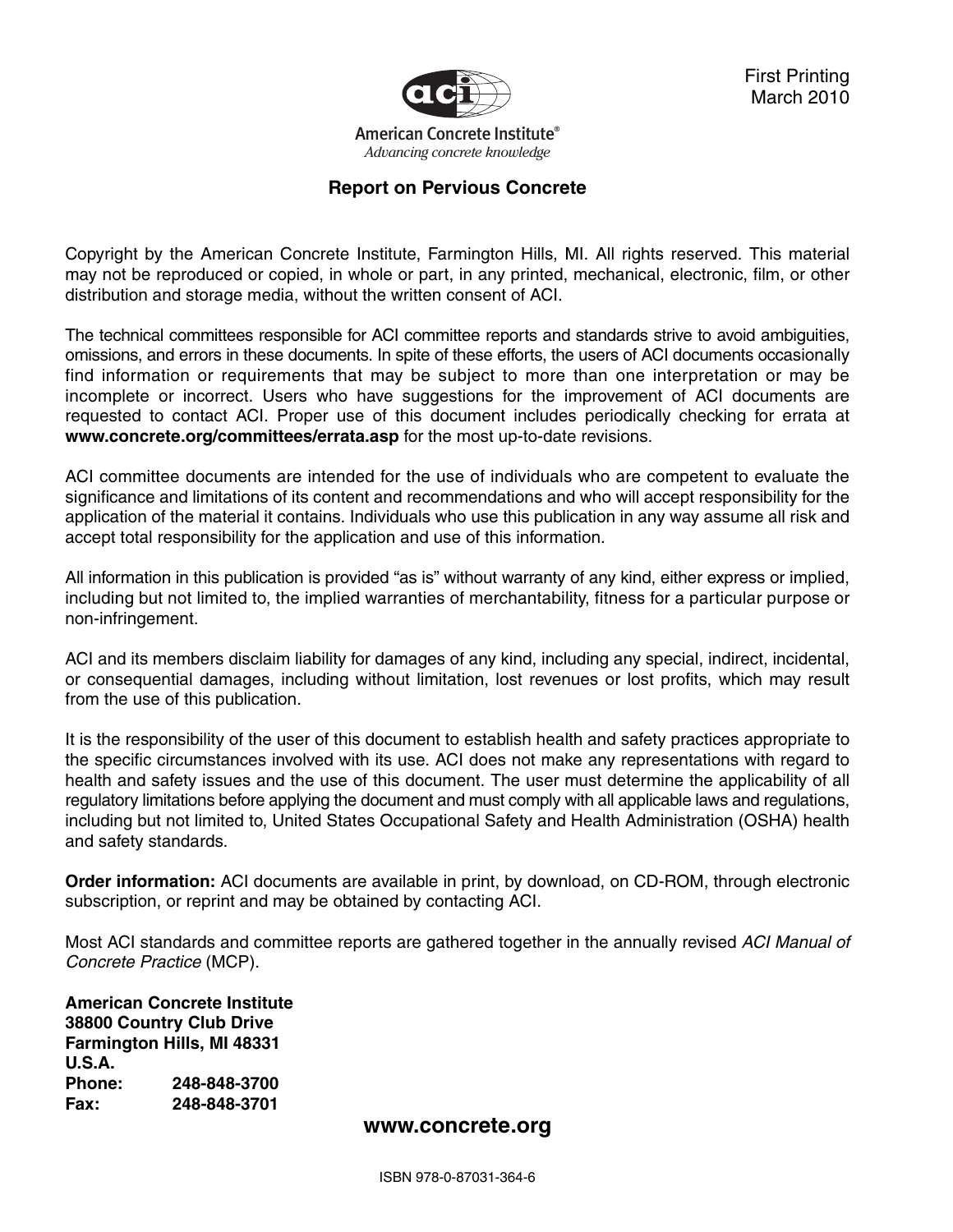

American Concrete Institute® *Advancing concrete knowledge*

### **Report on Pervious Concrete**

Copyright by the American Concrete Institute, Farmington Hills, MI. All rights reserved. This material may not be reproduced or copied, in whole or part, in any printed, mechanical, electronic, film, or other distribution and storage media, without the written consent of ACI.

The technical committees responsible for ACI committee reports and standards strive to avoid ambiguities, omissions, and errors in these documents. In spite of these efforts, the users of ACI documents occasionally find information or requirements that may be subject to more than one interpretation or may be incomplete or incorrect. Users who have suggestions for the improvement of ACI documents are requested to contact ACI. Proper use of this document includes periodically checking for errata at **www.concrete.org/committees/errata.asp** for the most up-to-date revisions.

ACI committee documents are intended for the use of individuals who are competent to evaluate the significance and limitations of its content and recommendations and who will accept responsibility for the application of the material it contains. Individuals who use this publication in any way assume all risk and accept total responsibility for the application and use of this information.

All information in this publication is provided "as is" without warranty of any kind, either express or implied, including but not limited to, the implied warranties of merchantability, fitness for a particular purpose or non-infringement.

ACI and its members disclaim liability for damages of any kind, including any special, indirect, incidental, or consequential damages, including without limitation, lost revenues or lost profits, which may result from the use of this publication.

It is the responsibility of the user of this document to establish health and safety practices appropriate to the specific circumstances involved with its use. ACI does not make any representations with regard to health and safety issues and the use of this document. The user must determine the applicability of all regulatory limitations before applying the document and must comply with all applicable laws and regulations, including but not limited to, United States Occupational Safety and Health Administration (OSHA) health and safety standards.

**Order information:** ACI documents are available in print, by download, on CD-ROM, through electronic subscription, or reprint and may be obtained by contacting ACI.

Most ACI standards and committee reports are gathered together in the annually revised *ACI Manual of Concrete Practice* (MCP).

**American Concrete Institute 38800 Country Club Drive Farmington Hills, MI 48331 U.S.A. Phone: 248-848-3700 Fax: 248-848-3701**

#### **www.concrete.org**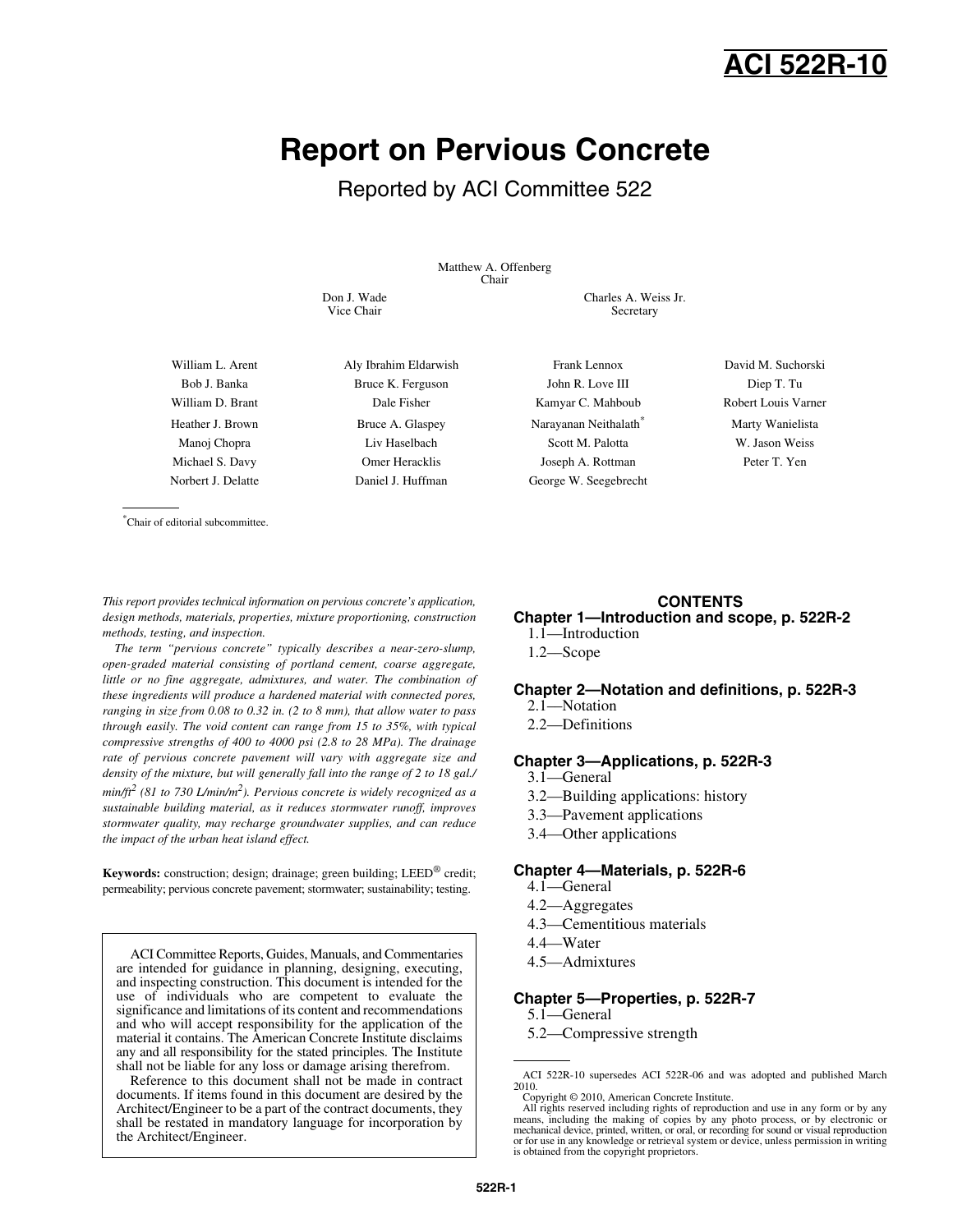# **ACI 522R-10**

# **Report on Pervious Concrete**

Reported by ACI Committee 522

Matthew A. Offenberg Chair

Don J. Wade Vice Chair

Charles A. Weiss Jr. Secretary

Bob J. Banka Bruce K. Ferguson John R. Love III Diep T. Tu William D. Brant **Dale Fisher** C. Mahboub Robert Louis Varner Heather J. Brown Bruce A. Glaspey Narayanan Neithalath<sup>\*</sup> Marty Wanielista Manoj Chopra Liv Haselbach Scott M. Palotta W. Jason Weiss Michael S. Davy Omer Heracklis Joseph A. Rottman Peter T. Yen Norbert J. Delatte Daniel J. Huffman George W. Seegebrecht

William L. Arent **Aly Ibrahim Eldarwish** Frank Lennox **David M. Suchorski** 

\* Chair of editorial subcommittee.

*This report provides technical information on pervious concrete's application, design methods, materials, properties, mixture proportioning, construction methods, testing, and inspection.*

*The term "pervious concrete" typically describes a near-zero-slump, open-graded material consisting of portland cement, coarse aggregate, little or no fine aggregate, admixtures, and water. The combination of these ingredients will produce a hardened material with connected pores, ranging in size from 0.08 to 0.32 in. (2 to 8 mm), that allow water to pass through easily. The void content can range from 15 to 35%, with typical compressive strengths of 400 to 4000 psi (2.8 to 28 MPa). The drainage rate of pervious concrete pavement will vary with aggregate size and density of the mixture, but will generally fall into the range of 2 to 18 gal./ min/ft<sup>2</sup> (81 to 730 L/min/m2). Pervious concrete is widely recognized as a sustainable building material, as it reduces stormwater runoff, improves stormwater quality, may recharge groundwater supplies, and can reduce the impact of the urban heat island effect.*

**Keywords:** construction; design; drainage; green building; LEED® credit; permeability; pervious concrete pavement; stormwater; sustainability; testing.

ACI Committee Reports, Guides, Manuals, and Commentaries are intended for guidance in planning, designing, executing, and inspecting construction. This document is intended for the use of individuals who are competent to evaluate the significance and limitations of its content and recommendations and who will accept responsibility for the application of the material it contains. The American Concrete Institute disclaims any and all responsibility for the stated principles. The Institute shall not be liable for any loss or damage arising therefrom.

Reference to this document shall not be made in contract documents. If items found in this document are desired by the Architect/Engineer to be a part of the contract documents, they shall be restated in mandatory language for incorporation by the Architect/Engineer.

#### **CONTENTS**

#### **Chapter 1—Introduction and scope, p. 522R-2**

- 1.1—Introduction
- 1.2––Scope

#### **Chapter 2—Notation and definitions, p. 522R-3**

- 2.1––Notation
- 2.2—Definitions

#### **Chapter 3—Applications, p. 522R-3**

- 3.1—General
- 3.2—Building applications: history
- 3.3—Pavement applications
- 3.4—Other applications

#### **Chapter 4—Materials, p. 522R-6**

- 4.1—General
- 4.2—Aggregates
- 4.3—Cementitious materials
- 4.4—Water
- 4.5—Admixtures

#### **Chapter 5—Properties, p. 522R-7**

- 5.1—General
- 5.2—Compressive strength

ACI 522R-10 supersedes ACI 522R-06 and was adopted and published March 2010.

Copyright © 2010, American Concrete Institute.

All rights reserved including rights of reproduction and use in any form or by any means, including the making of copies by any photo process, or by electronic or mechanical device, printed, written, or oral, or recording for sound or visual reproduction or for use in any knowledge or retrieval system or device, unless permission in writing is obtained from the copyright proprietors.